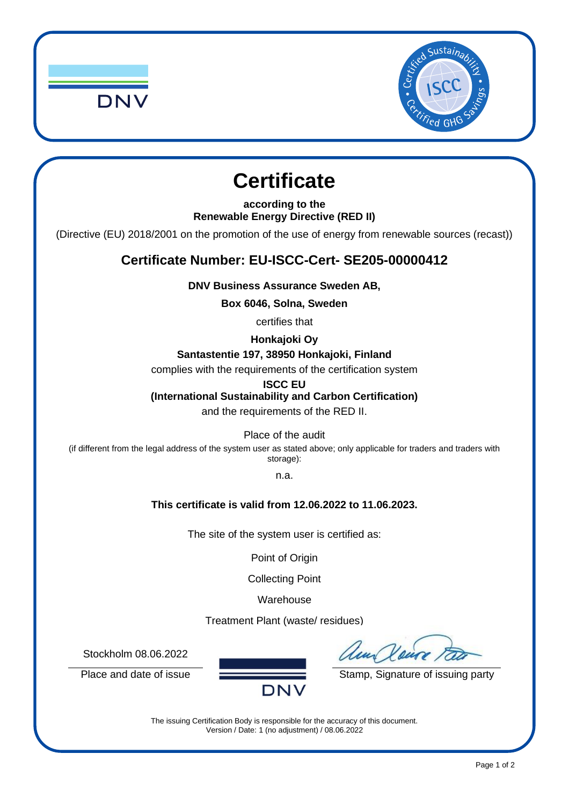



# **Certificate**

**according to the Renewable Energy Directive (RED II)**

(Directive (EU) 2018/2001 on the promotion of the use of energy from renewable sources (recast))

## **Certificate Number: EU-ISCC-Cert- SE205-00000412**

**DNV Business Assurance Sweden AB,**

**Box 6046, Solna, Sweden**

certifies that

**Honkajoki Oy** 

**Santastentie 197, 38950 Honkajoki, Finland**

complies with the requirements of the certification system

**ISCC EU**

**(International Sustainability and Carbon Certification)**

and the requirements of the RED II.

Place of the audit

(if different from the legal address of the system user as stated above; only applicable for traders and traders with storage):

n.a.

### **This certificate is valid from 12.06.2022 to 11.06.2023.**

The site of the system user is certified as:

Point of Origin

Collecting Point

Warehouse

Treatment Plant (waste/ residues)

Stockholm 08.06.2022

un Veure

Place and date of issue Stamp, Signature of issuing party

The issuing Certification Body is responsible for the accuracy of this document. Version / Date: 1 (no adjustment) / 08.06.2022

**DNV**